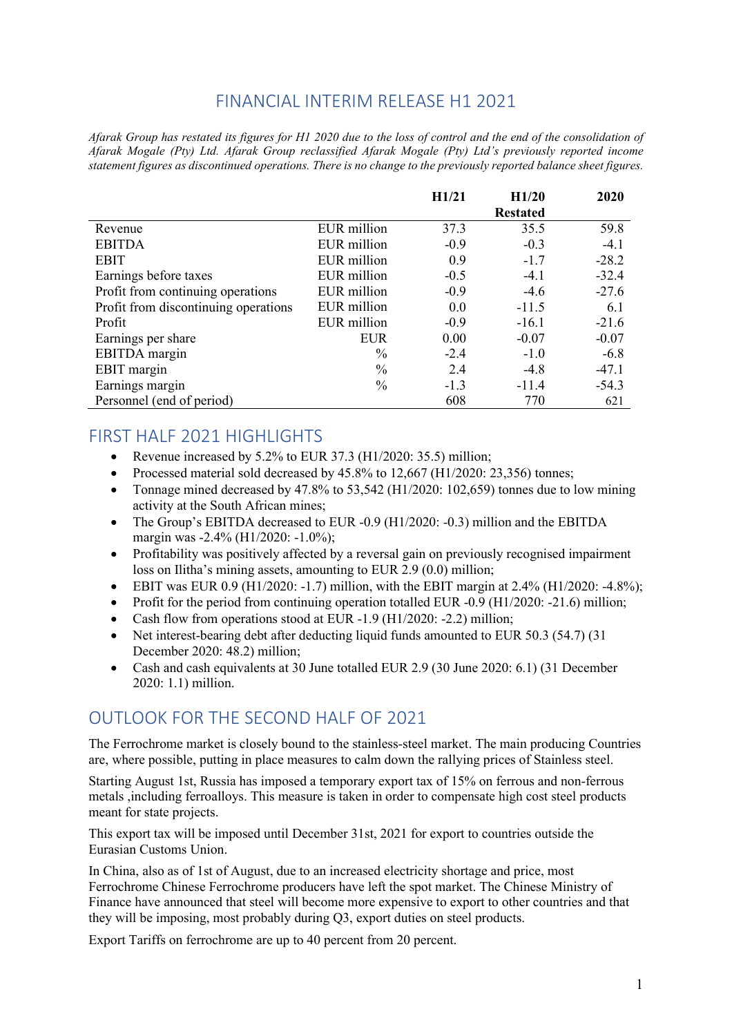## FINANCIAL INTERIM RELEASE H1 2021

*Afarak Group has restated its figures for H1 2020 due to the loss of control and the end of the consolidation of Afarak Mogale (Pty) Ltd. Afarak Group reclassified Afarak Mogale (Pty) Ltd's previously reported income statement figures as discontinued operations. There is no change to the previously reported balance sheet figures.*

|                                      |               | H1/21  | H1/20           | 2020    |
|--------------------------------------|---------------|--------|-----------------|---------|
|                                      |               |        | <b>Restated</b> |         |
| Revenue                              | EUR million   | 37.3   | 35.5            | 59.8    |
| <b>EBITDA</b>                        | EUR million   | $-0.9$ | $-0.3$          | $-4.1$  |
| <b>EBIT</b>                          | EUR million   | 0.9    | $-1.7$          | $-28.2$ |
| Earnings before taxes                | EUR million   | $-0.5$ | $-4.1$          | $-32.4$ |
| Profit from continuing operations    | EUR million   | $-0.9$ | $-4.6$          | $-27.6$ |
| Profit from discontinuing operations | EUR million   | 0.0    | $-11.5$         | 6.1     |
| Profit                               | EUR million   | $-0.9$ | $-16.1$         | $-21.6$ |
| Earnings per share                   | <b>EUR</b>    | 0.00   | $-0.07$         | $-0.07$ |
| EBITDA margin                        | $\frac{0}{0}$ | $-2.4$ | $-1.0$          | $-6.8$  |
| EBIT margin                          | $\frac{0}{0}$ | 2.4    | $-4.8$          | $-47.1$ |
| Earnings margin                      | $\frac{0}{0}$ | $-1.3$ | $-11.4$         | $-54.3$ |
| Personnel (end of period)            |               | 608    | 770             | 621     |

## FIRST HALF 2021 HIGHLIGHTS

- Revenue increased by 5.2% to EUR 37.3 (H1/2020: 35.5) million;
- Processed material sold decreased by 45.8% to 12,667 (H1/2020: 23,356) tonnes;
- Tonnage mined decreased by 47.8% to 53,542 (H1/2020: 102,659) tonnes due to low mining activity at the South African mines;
- The Group's EBITDA decreased to EUR -0.9 (H1/2020: -0.3) million and the EBITDA margin was -2.4% (H1/2020: -1.0%);
- Profitability was positively affected by a reversal gain on previously recognised impairment loss on Ilitha's mining assets, amounting to EUR 2.9 (0.0) million;
- EBIT was EUR 0.9 (H1/2020: -1.7) million, with the EBIT margin at 2.4% (H1/2020: -4.8%);
- Profit for the period from continuing operation totalled EUR  $-0.9$  (H $1/2020: -21.6$ ) million;
- Cash flow from operations stood at EUR -1.9 (H1/2020: -2.2) million;
- Net interest-bearing debt after deducting liquid funds amounted to EUR 50.3 (54.7) (31) December 2020: 48.2) million;
- Cash and cash equivalents at 30 June totalled EUR 2.9 (30 June 2020: 6.1) (31 December 2020: 1.1) million.

## OUTLOOK FOR THE SECOND HALF OF 2021

The Ferrochrome market is closely bound to the stainless-steel market. The main producing Countries are, where possible, putting in place measures to calm down the rallying prices of Stainless steel.

Starting August 1st, Russia has imposed a temporary export tax of 15% on ferrous and non-ferrous metals ,including ferroalloys. This measure is taken in order to compensate high cost steel products meant for state projects.

This export tax will be imposed until December 31st, 2021 for export to countries outside the Eurasian Customs Union.

In China, also as of 1st of August, due to an increased electricity shortage and price, most Ferrochrome Chinese Ferrochrome producers have left the spot market. The Chinese Ministry of Finance have announced that steel will become more expensive to export to other countries and that they will be imposing, most probably during Q3, export duties on steel products.

Export Tariffs on ferrochrome are up to 40 percent from 20 percent.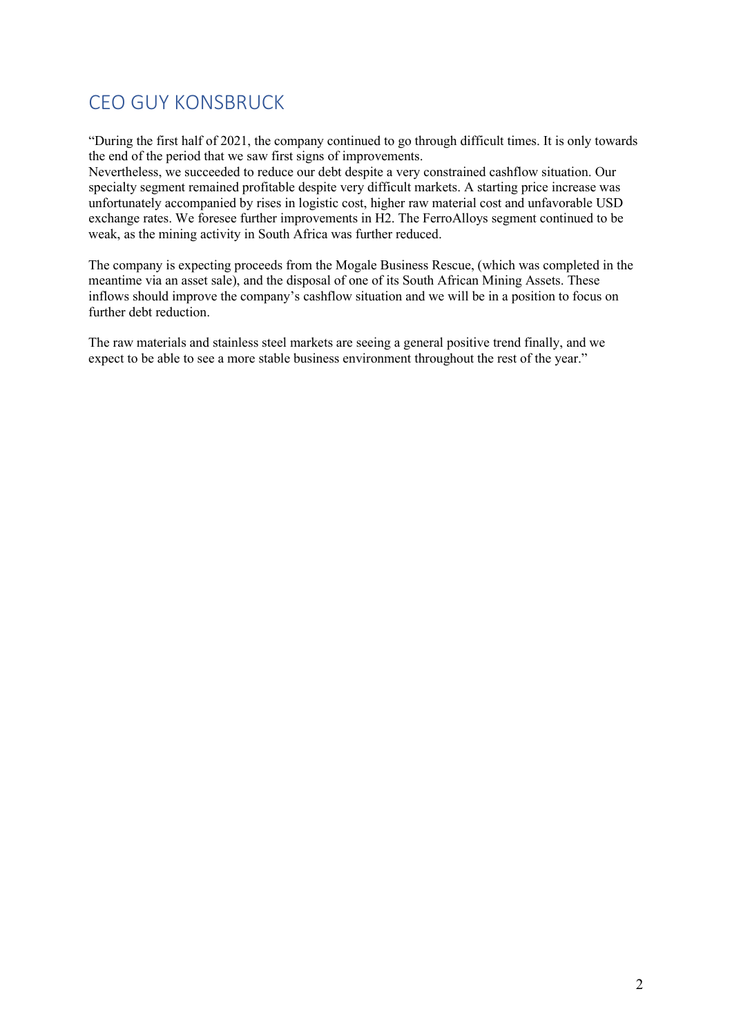# CEO GUY KONSBRUCK

"During the first half of 2021, the company continued to go through difficult times. It is only towards the end of the period that we saw first signs of improvements.

Nevertheless, we succeeded to reduce our debt despite a very constrained cashflow situation. Our specialty segment remained profitable despite very difficult markets. A starting price increase was unfortunately accompanied by rises in logistic cost, higher raw material cost and unfavorable USD exchange rates. We foresee further improvements in H2. The FerroAlloys segment continued to be weak, as the mining activity in South Africa was further reduced.

The company is expecting proceeds from the Mogale Business Rescue, (which was completed in the meantime via an asset sale), and the disposal of one of its South African Mining Assets. These inflows should improve the company's cashflow situation and we will be in a position to focus on further debt reduction.

The raw materials and stainless steel markets are seeing a general positive trend finally, and we expect to be able to see a more stable business environment throughout the rest of the year."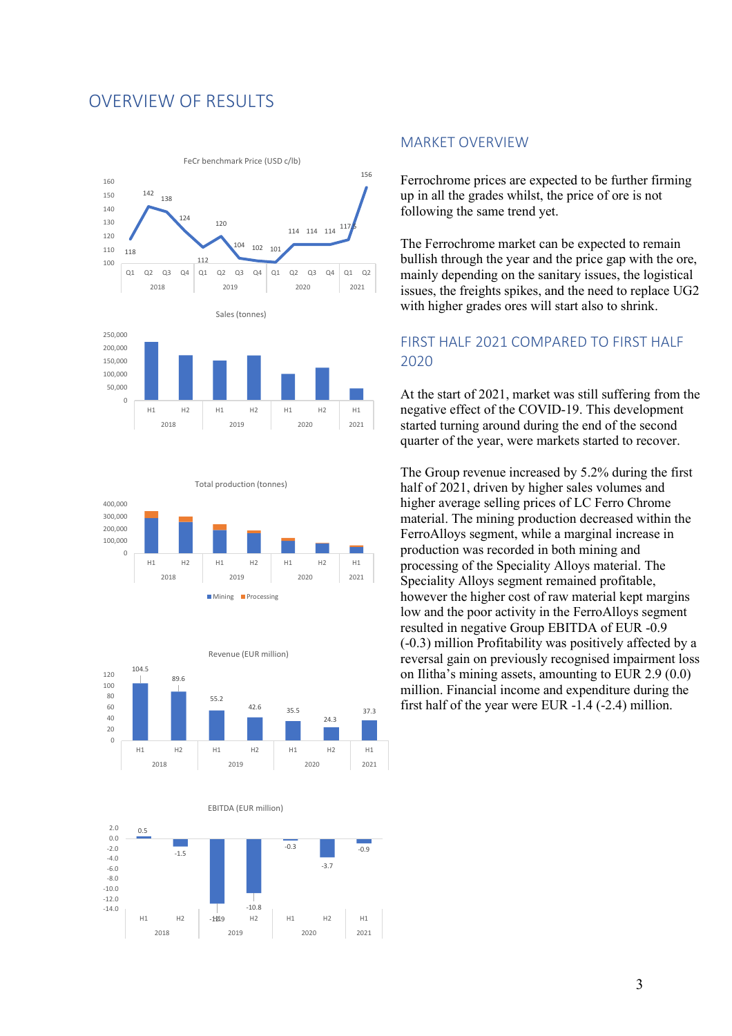## OVERVIEW OF RESULTS











#### MARKET OVERVIEW

Ferrochrome prices are expected to be further firming up in all the grades whilst, the price of ore is not following the same trend yet.

The Ferrochrome market can be expected to remain bullish through the year and the price gap with the ore, mainly depending on the sanitary issues, the logistical issues, the freights spikes, and the need to replace UG2 with higher grades ores will start also to shrink.

## FIRST HALF 2021 COMPARED TO FIRST HALF 2020

At the start of 2021, market was still suffering from the negative effect of the COVID-19. This development started turning around during the end of the second quarter of the year, were markets started to recover.

The Group revenue increased by 5.2% during the first half of 2021, driven by higher sales volumes and higher average selling prices of LC Ferro Chrome material. The mining production decreased within the FerroAlloys segment, while a marginal increase in production was recorded in both mining and processing of the Speciality Alloys material. The Speciality Alloys segment remained profitable, however the higher cost of raw material kept margins low and the poor activity in the FerroAlloys segment resulted in negative Group EBITDA of EUR -0.9 (-0.3) million Profitability was positively affected by a reversal gain on previously recognised impairment loss on Ilitha's mining assets, amounting to EUR 2.9 (0.0) million. Financial income and expenditure during the first half of the year were EUR -1.4 (-2.4) million.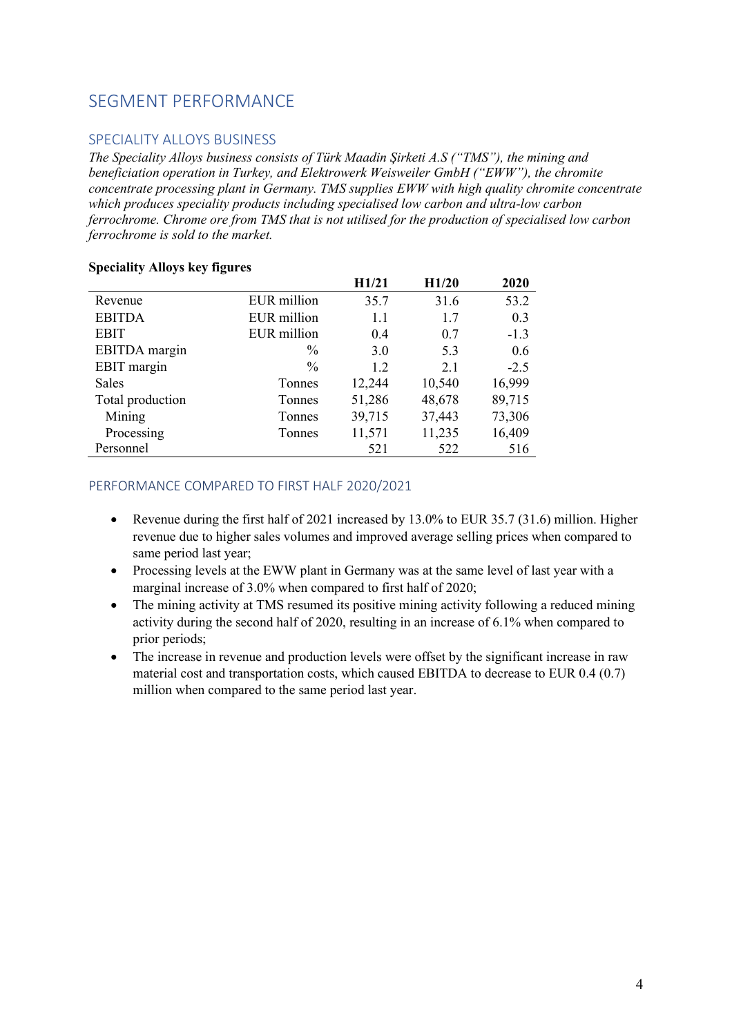## SEGMENT PERFORMANCE

### SPECIALITY ALLOYS BUSINESS

*The Speciality Alloys business consists of Türk Maadin Şirketi A.S ("TMS"), the mining and beneficiation operation in Turkey, and Elektrowerk Weisweiler GmbH ("EWW"), the chromite concentrate processing plant in Germany. TMS supplies EWW with high quality chromite concentrate which produces speciality products including specialised low carbon and ultra-low carbon ferrochrome. Chrome ore from TMS that is not utilised for the production of specialised low carbon ferrochrome is sold to the market.*

|                  |               | H1/21  | H1/20  | 2020   |
|------------------|---------------|--------|--------|--------|
| Revenue          | EUR million   | 35.7   | 31.6   | 53.2   |
| <b>EBITDA</b>    | EUR million   | 1.1    | 1.7    | 0.3    |
| <b>EBIT</b>      | EUR million   | 0.4    | 0.7    | $-1.3$ |
| EBITDA margin    | $\%$          | 3.0    | 5.3    | 0.6    |
| EBIT margin      | $\frac{0}{0}$ | 1.2    | 2.1    | $-2.5$ |
| Sales            | Tonnes        | 12,244 | 10,540 | 16,999 |
| Total production | <b>Tonnes</b> | 51,286 | 48,678 | 89,715 |
| Mining           | Tonnes        | 39,715 | 37,443 | 73,306 |
| Processing       | Tonnes        | 11,571 | 11,235 | 16,409 |
| Personnel        |               | 521    | 522    | 516    |

#### **Speciality Alloys key figures**

#### PERFORMANCE COMPARED TO FIRST HALF 2020/2021

- Revenue during the first half of 2021 increased by  $13.0\%$  to EUR 35.7 (31.6) million. Higher revenue due to higher sales volumes and improved average selling prices when compared to same period last year;
- Processing levels at the EWW plant in Germany was at the same level of last year with a marginal increase of 3.0% when compared to first half of 2020;
- The mining activity at TMS resumed its positive mining activity following a reduced mining activity during the second half of 2020, resulting in an increase of 6.1% when compared to prior periods;
- The increase in revenue and production levels were offset by the significant increase in raw material cost and transportation costs, which caused EBITDA to decrease to EUR 0.4 (0.7) million when compared to the same period last year.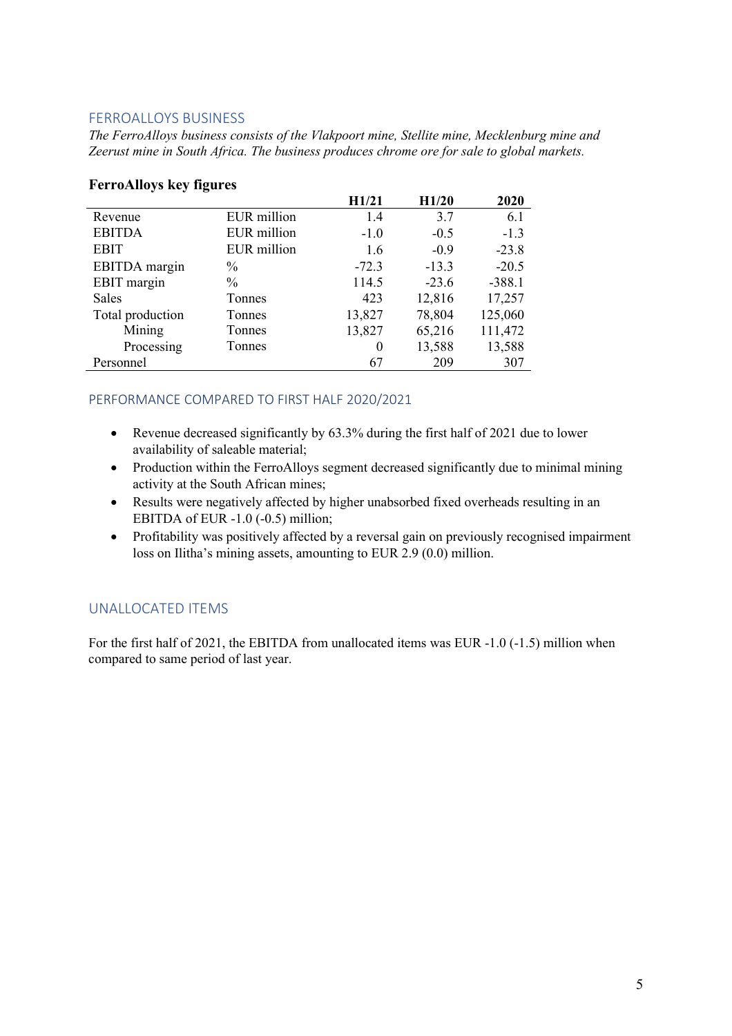### FERROALLOYS BUSINESS

*The FerroAlloys business consists of the Vlakpoort mine, Stellite mine, Mecklenburg mine and Zeerust mine in South Africa. The business produces chrome ore for sale to global markets.*

|                  |               | H1/21    | H1/20   | 2020     |
|------------------|---------------|----------|---------|----------|
| Revenue          | EUR million   | 1.4      | 3.7     | 6.1      |
| <b>EBITDA</b>    | EUR million   | $-1.0$   | $-0.5$  | $-1.3$   |
| <b>EBIT</b>      | EUR million   | 1.6      | $-0.9$  | $-23.8$  |
| EBITDA margin    | $\%$          | $-72.3$  | $-13.3$ | $-20.5$  |
| EBIT margin      | $\frac{0}{0}$ | 114.5    | $-23.6$ | $-388.1$ |
| Sales            | Tonnes        | 423      | 12,816  | 17,257   |
| Total production | Tonnes        | 13,827   | 78,804  | 125,060  |
| Mining           | Tonnes        | 13,827   | 65,216  | 111,472  |
| Processing       | Tonnes        | $\theta$ | 13,588  | 13,588   |
| Personnel        |               | 67       | 209     | 307      |

#### **FerroAlloys key figures**

#### PERFORMANCE COMPARED TO FIRST HALF 2020/2021

- Revenue decreased significantly by 63.3% during the first half of 2021 due to lower availability of saleable material;
- Production within the FerroAlloys segment decreased significantly due to minimal mining activity at the South African mines;
- Results were negatively affected by higher unabsorbed fixed overheads resulting in an EBITDA of EUR -1.0 (-0.5) million;
- Profitability was positively affected by a reversal gain on previously recognised impairment loss on Ilitha's mining assets, amounting to EUR 2.9 (0.0) million.

## UNALLOCATED ITEMS

For the first half of 2021, the EBITDA from unallocated items was EUR -1.0 (-1.5) million when compared to same period of last year.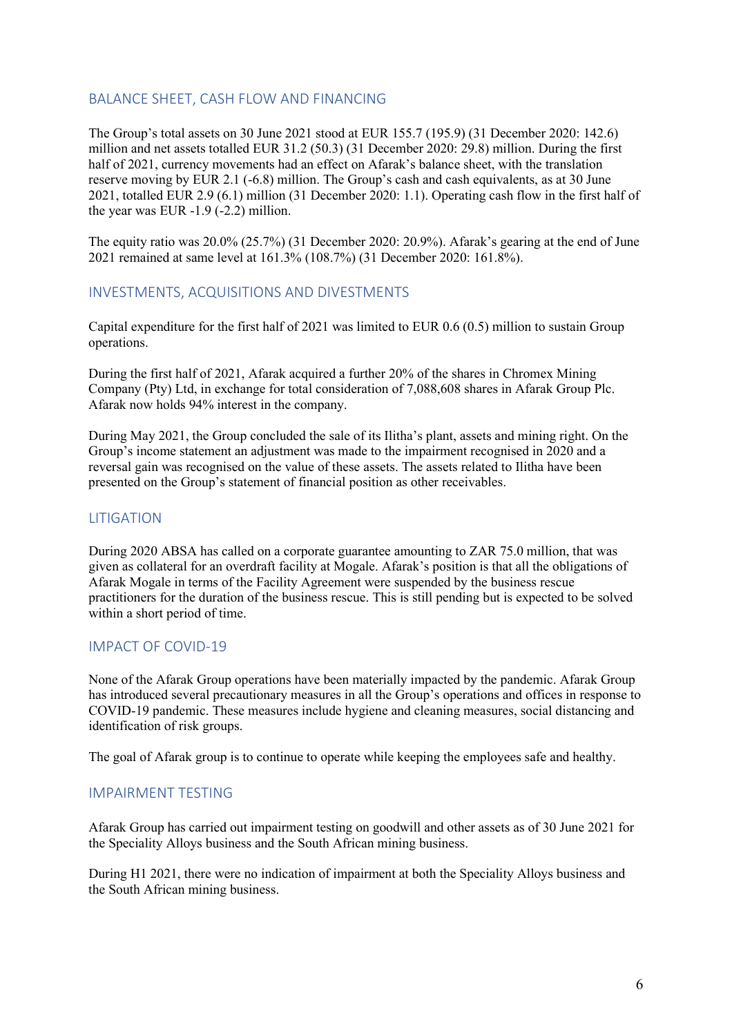### BALANCE SHEET, CASH FLOW AND FINANCING

The Group's total assets on 30 June 2021 stood at EUR 155.7 (195.9) (31 December 2020: 142.6) million and net assets totalled EUR 31.2 (50.3) (31 December 2020: 29.8) million. During the first half of 2021, currency movements had an effect on Afarak's balance sheet, with the translation reserve moving by EUR 2.1 (-6.8) million. The Group's cash and cash equivalents, as at 30 June 2021, totalled EUR 2.9 (6.1) million (31 December 2020: 1.1). Operating cash flow in the first half of the year was EUR -1.9 (-2.2) million.

The equity ratio was 20.0% (25.7%) (31 December 2020: 20.9%). Afarak's gearing at the end of June 2021 remained at same level at 161.3% (108.7%) (31 December 2020: 161.8%).

#### INVESTMENTS, ACQUISITIONS AND DIVESTMENTS

Capital expenditure for the first half of 2021 was limited to EUR 0.6 (0.5) million to sustain Group operations.

During the first half of 2021, Afarak acquired a further 20% of the shares in Chromex Mining Company (Pty) Ltd, in exchange for total consideration of 7,088,608 shares in Afarak Group Plc. Afarak now holds 94% interest in the company.

During May 2021, the Group concluded the sale of its Ilitha's plant, assets and mining right. On the Group's income statement an adjustment was made to the impairment recognised in 2020 and a reversal gain was recognised on the value of these assets. The assets related to Ilitha have been presented on the Group's statement of financial position as other receivables.

### LITIGATION

During 2020 ABSA has called on a corporate guarantee amounting to ZAR 75.0 million, that was given as collateral for an overdraft facility at Mogale. Afarak's position is that all the obligations of Afarak Mogale in terms of the Facility Agreement were suspended by the business rescue practitioners for the duration of the business rescue. This is still pending but is expected to be solved within a short period of time.

## IMPACT OF COVID-19

None of the Afarak Group operations have been materially impacted by the pandemic. Afarak Group has introduced several precautionary measures in all the Group's operations and offices in response to COVID-19 pandemic. These measures include hygiene and cleaning measures, social distancing and identification of risk groups.

The goal of Afarak group is to continue to operate while keeping the employees safe and healthy.

#### IMPAIRMENT TESTING

Afarak Group has carried out impairment testing on goodwill and other assets as of 30 June 2021 for the Speciality Alloys business and the South African mining business.

During H1 2021, there were no indication of impairment at both the Speciality Alloys business and the South African mining business.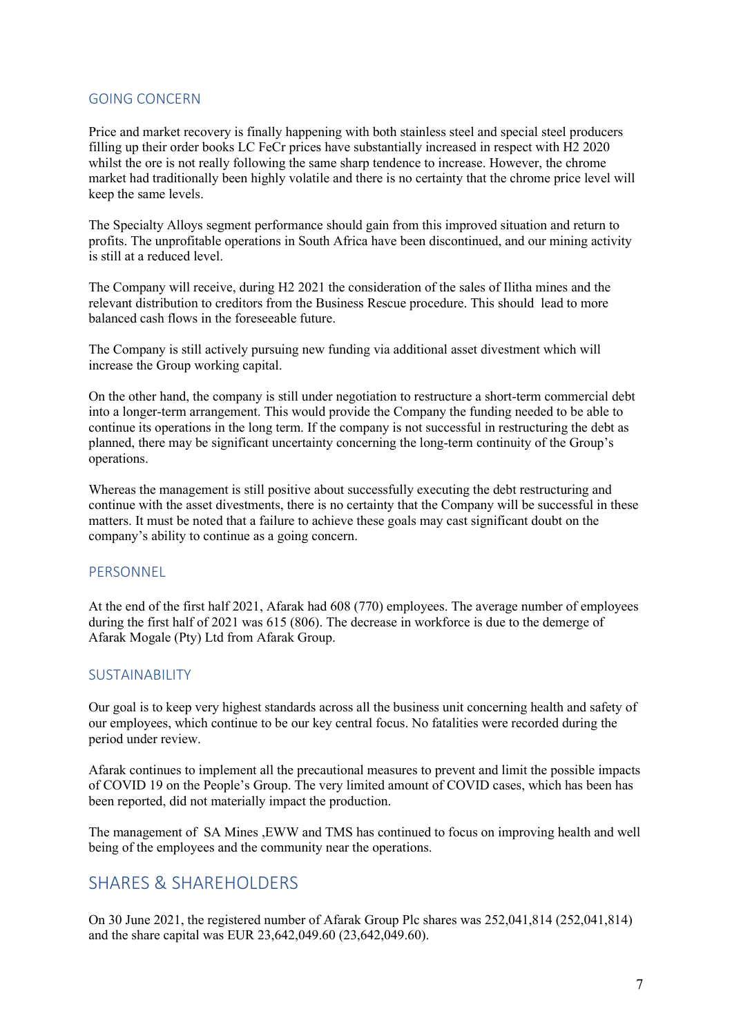#### GOING CONCERN

Price and market recovery is finally happening with both stainless steel and special steel producers filling up their order books LC FeCr prices have substantially increased in respect with H2 2020 whilst the ore is not really following the same sharp tendence to increase. However, the chrome market had traditionally been highly volatile and there is no certainty that the chrome price level will keep the same levels.

The Specialty Alloys segment performance should gain from this improved situation and return to profits. The unprofitable operations in South Africa have been discontinued, and our mining activity is still at a reduced level.

The Company will receive, during H2 2021 the consideration of the sales of Ilitha mines and the relevant distribution to creditors from the Business Rescue procedure. This should lead to more balanced cash flows in the foreseeable future.

The Company is still actively pursuing new funding via additional asset divestment which will increase the Group working capital.

On the other hand, the company is still under negotiation to restructure a short-term commercial debt into a longer-term arrangement. This would provide the Company the funding needed to be able to continue its operations in the long term. If the company is not successful in restructuring the debt as planned, there may be significant uncertainty concerning the long-term continuity of the Group's operations.

Whereas the management is still positive about successfully executing the debt restructuring and continue with the asset divestments, there is no certainty that the Company will be successful in these matters. It must be noted that a failure to achieve these goals may cast significant doubt on the company's ability to continue as a going concern.

#### PERSONNEL

At the end of the first half 2021, Afarak had 608 (770) employees. The average number of employees during the first half of 2021 was 615 (806). The decrease in workforce is due to the demerge of Afarak Mogale (Pty) Ltd from Afarak Group.

#### SUSTAINABILITY

Our goal is to keep very highest standards across all the business unit concerning health and safety of our employees, which continue to be our key central focus. No fatalities were recorded during the period under review.

Afarak continues to implement all the precautional measures to prevent and limit the possible impacts of COVID 19 on the People's Group. The very limited amount of COVID cases, which has been has been reported, did not materially impact the production.

The management of SA Mines ,EWW and TMS has continued to focus on improving health and well being of the employees and the community near the operations.

## SHARES & SHAREHOLDERS

On 30 June 2021, the registered number of Afarak Group Plc shares was 252,041,814 (252,041,814) and the share capital was EUR 23,642,049.60 (23,642,049.60).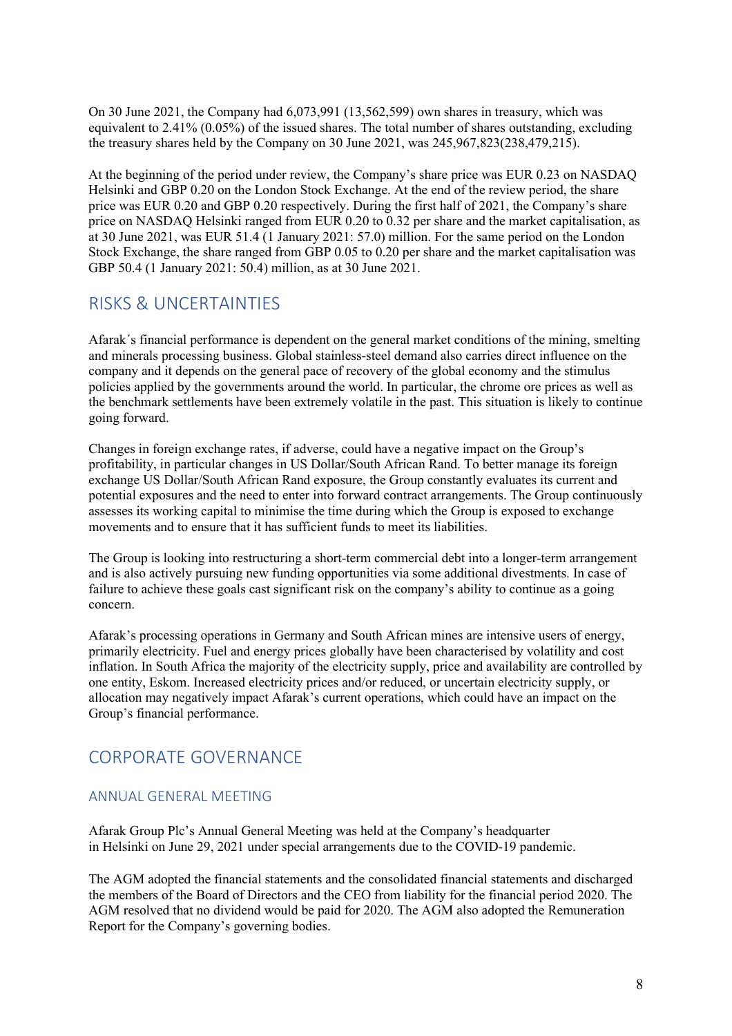On 30 June 2021, the Company had 6,073,991 (13,562,599) own shares in treasury, which was equivalent to 2.41% (0.05%) of the issued shares. The total number of shares outstanding, excluding the treasury shares held by the Company on 30 June 2021, was 245,967,823(238,479,215).

At the beginning of the period under review, the Company's share price was EUR 0.23 on NASDAQ Helsinki and GBP 0.20 on the London Stock Exchange. At the end of the review period, the share price was EUR 0.20 and GBP 0.20 respectively. During the first half of 2021, the Company's share price on NASDAQ Helsinki ranged from EUR 0.20 to 0.32 per share and the market capitalisation, as at 30 June 2021, was EUR 51.4 (1 January 2021: 57.0) million. For the same period on the London Stock Exchange, the share ranged from GBP 0.05 to 0.20 per share and the market capitalisation was GBP 50.4 (1 January 2021: 50.4) million, as at 30 June 2021.

## RISKS & UNCERTAINTIES

Afarak´s financial performance is dependent on the general market conditions of the mining, smelting and minerals processing business. Global stainless-steel demand also carries direct influence on the company and it depends on the general pace of recovery of the global economy and the stimulus policies applied by the governments around the world. In particular, the chrome ore prices as well as the benchmark settlements have been extremely volatile in the past. This situation is likely to continue going forward.

Changes in foreign exchange rates, if adverse, could have a negative impact on the Group's profitability, in particular changes in US Dollar/South African Rand. To better manage its foreign exchange US Dollar/South African Rand exposure, the Group constantly evaluates its current and potential exposures and the need to enter into forward contract arrangements. The Group continuously assesses its working capital to minimise the time during which the Group is exposed to exchange movements and to ensure that it has sufficient funds to meet its liabilities.

The Group is looking into restructuring a short-term commercial debt into a longer-term arrangement and is also actively pursuing new funding opportunities via some additional divestments. In case of failure to achieve these goals cast significant risk on the company's ability to continue as a going concern.

Afarak's processing operations in Germany and South African mines are intensive users of energy, primarily electricity. Fuel and energy prices globally have been characterised by volatility and cost inflation. In South Africa the majority of the electricity supply, price and availability are controlled by one entity, Eskom. Increased electricity prices and/or reduced, or uncertain electricity supply, or allocation may negatively impact Afarak's current operations, which could have an impact on the Group's financial performance.

## CORPORATE GOVERNANCE

## ANNUAL GENERAL MEETING

Afarak Group Plc's Annual General Meeting was held at the Company's headquarter in Helsinki on June 29, 2021 under special arrangements due to the COVID-19 pandemic.

The AGM adopted the financial statements and the consolidated financial statements and discharged the members of the Board of Directors and the CEO from liability for the financial period 2020. The AGM resolved that no dividend would be paid for 2020. The AGM also adopted the Remuneration Report for the Company's governing bodies.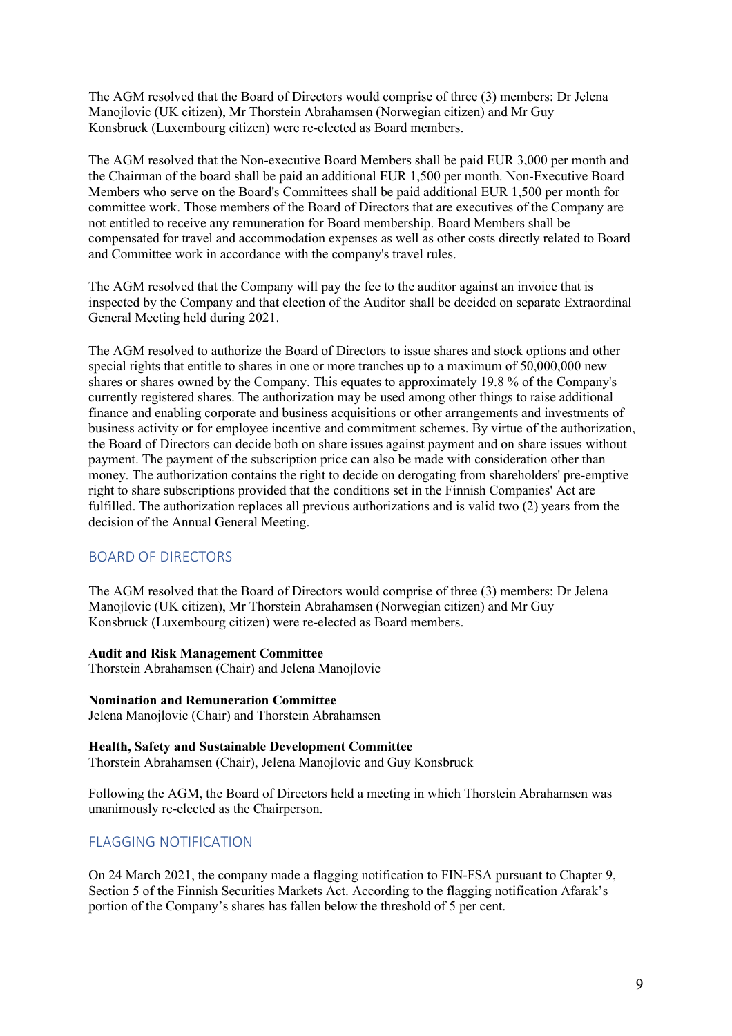The AGM resolved that the Board of Directors would comprise of three (3) members: Dr Jelena Manojlovic (UK citizen), Mr Thorstein Abrahamsen (Norwegian citizen) and Mr Guy Konsbruck (Luxembourg citizen) were re-elected as Board members.

The AGM resolved that the Non-executive Board Members shall be paid EUR 3,000 per month and the Chairman of the board shall be paid an additional EUR 1,500 per month. Non-Executive Board Members who serve on the Board's Committees shall be paid additional EUR 1,500 per month for committee work. Those members of the Board of Directors that are executives of the Company are not entitled to receive any remuneration for Board membership. Board Members shall be compensated for travel and accommodation expenses as well as other costs directly related to Board and Committee work in accordance with the company's travel rules.

The AGM resolved that the Company will pay the fee to the auditor against an invoice that is inspected by the Company and that election of the Auditor shall be decided on separate Extraordinal General Meeting held during 2021.

The AGM resolved to authorize the Board of Directors to issue shares and stock options and other special rights that entitle to shares in one or more tranches up to a maximum of 50,000,000 new shares or shares owned by the Company. This equates to approximately 19.8 % of the Company's currently registered shares. The authorization may be used among other things to raise additional finance and enabling corporate and business acquisitions or other arrangements and investments of business activity or for employee incentive and commitment schemes. By virtue of the authorization, the Board of Directors can decide both on share issues against payment and on share issues without payment. The payment of the subscription price can also be made with consideration other than money. The authorization contains the right to decide on derogating from shareholders' pre-emptive right to share subscriptions provided that the conditions set in the Finnish Companies' Act are fulfilled. The authorization replaces all previous authorizations and is valid two (2) years from the decision of the Annual General Meeting.

## BOARD OF DIRECTORS

The AGM resolved that the Board of Directors would comprise of three (3) members: Dr Jelena Manojlovic (UK citizen), Mr Thorstein Abrahamsen (Norwegian citizen) and Mr Guy Konsbruck (Luxembourg citizen) were re-elected as Board members.

#### **Audit and Risk Management Committee**

Thorstein Abrahamsen (Chair) and Jelena Manojlovic

#### **Nomination and Remuneration Committee**

Jelena Manojlovic (Chair) and Thorstein Abrahamsen

#### **Health, Safety and Sustainable Development Committee**

Thorstein Abrahamsen (Chair), Jelena Manojlovic and Guy Konsbruck

Following the AGM, the Board of Directors held a meeting in which Thorstein Abrahamsen was unanimously re-elected as the Chairperson.

#### FLAGGING NOTIFICATION

On 24 March 2021, the company made a flagging notification to FIN-FSA pursuant to Chapter 9, Section 5 of the Finnish Securities Markets Act. According to the flagging notification Afarak's portion of the Company's shares has fallen below the threshold of 5 per cent.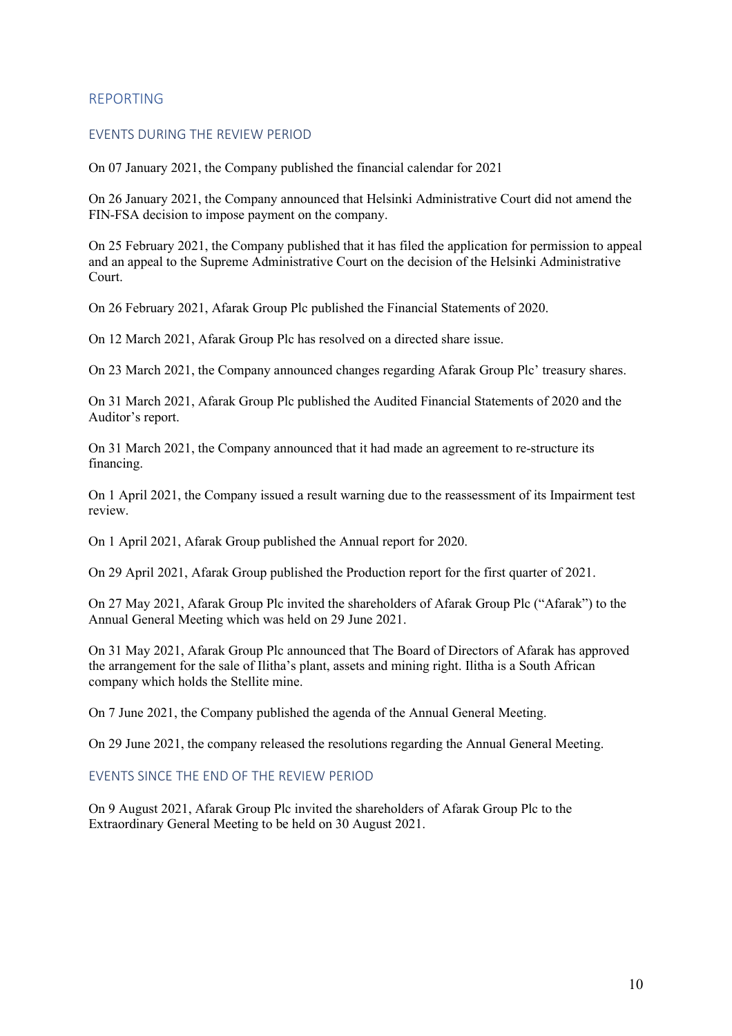#### REPORTING

#### EVENTS DURING THE REVIEW PERIOD

On 07 January 2021, the Company published the financial calendar for 2021

On 26 January 2021, the Company announced that Helsinki Administrative Court did not amend the FIN-FSA decision to impose payment on the company.

On 25 February 2021, the Company published that it has filed the application for permission to appeal and an appeal to the Supreme Administrative Court on the decision of the Helsinki Administrative Court.

On 26 February 2021, Afarak Group Plc published the Financial Statements of 2020.

On 12 March 2021, Afarak Group Plc has resolved on a directed share issue.

On 23 March 2021, the Company announced changes regarding Afarak Group Plc' treasury shares.

On 31 March 2021, Afarak Group Plc published the Audited Financial Statements of 2020 and the Auditor's report.

On 31 March 2021, the Company announced that it had made an agreement to re-structure its financing.

On 1 April 2021, the Company issued a result warning due to the reassessment of its Impairment test review.

On 1 April 2021, Afarak Group published the Annual report for 2020.

On 29 April 2021, Afarak Group published the Production report for the first quarter of 2021.

On 27 May 2021, Afarak Group Plc invited the shareholders of Afarak Group Plc ("Afarak") to the Annual General Meeting which was held on 29 June 2021.

On 31 May 2021, Afarak Group Plc announced that The Board of Directors of Afarak has approved the arrangement for the sale of Ilitha's plant, assets and mining right. Ilitha is a South African company which holds the Stellite mine.

On 7 June 2021, the Company published the agenda of the Annual General Meeting.

On 29 June 2021, the company released the resolutions regarding the Annual General Meeting.

#### EVENTS SINCE THE END OF THE REVIEW PERIOD

On 9 August 2021, Afarak Group Plc invited the shareholders of Afarak Group Plc to the Extraordinary General Meeting to be held on 30 August 2021.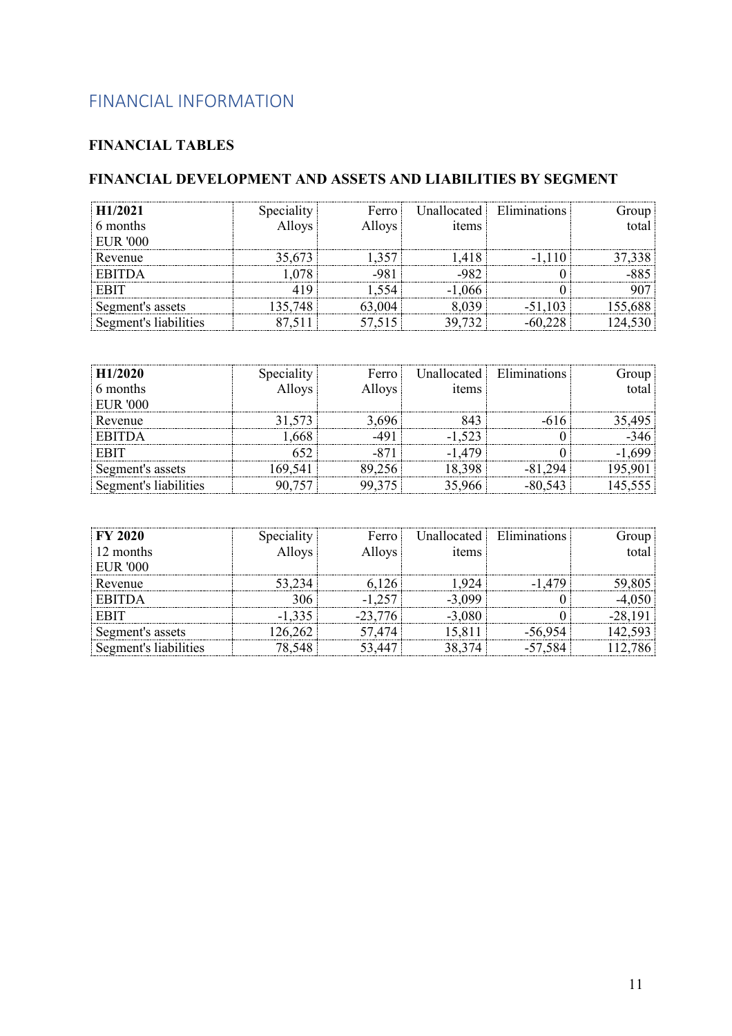# FINANCIAL INFORMATION

## **FINANCIAL TABLES**

## **FINANCIAL DEVELOPMENT AND ASSETS AND LIABILITIES BY SEGMENT**

| H1/2021            |        | Ferro  | Unallocated L | <b>Eliminations</b> |  |
|--------------------|--------|--------|---------------|---------------------|--|
| 6 months           |        | Alloys | ıtems         |                     |  |
| <b>EUR '000</b>    |        |        |               |                     |  |
| Revenue            | 35.673 |        |               | -                   |  |
| ITDA               |        |        |               |                     |  |
| <b>EBIT</b>        |        |        |               |                     |  |
| Segment's assets   |        |        |               |                     |  |
| ment's liabilities |        |        |               |                     |  |

| H1/2020          |               | Ferro  | <b>Inallocated</b> | Eliminations |  |
|------------------|---------------|--------|--------------------|--------------|--|
| 6 months         | <b>Alloys</b> | Alloys | 1tems              |              |  |
| <b>EUR '000</b>  |               |        |                    |              |  |
| Revenue          |               |        |                    |              |  |
| TDA              |               |        |                    |              |  |
|                  |               |        |                    |              |  |
| Segment's assets |               |        |                    |              |  |
| t's liabilities  |               |        |                    |              |  |

| <b>FY 2020</b>  |          | Ferro i | Unallocated L | Eliminations | uroup |
|-----------------|----------|---------|---------------|--------------|-------|
| 12 months       |          | Alloys  | 1tems         |              | total |
| <b>EUR '000</b> |          |         |               |              |       |
| Revenue         |          |         |               |              |       |
| <b>EBITDA</b>   |          |         |               |              |       |
| <b>EBIT</b>     | $-1.335$ | -4      |               |              |       |
| ¤ment's assets  |          |         |               |              |       |
| t's liabilities |          |         |               |              |       |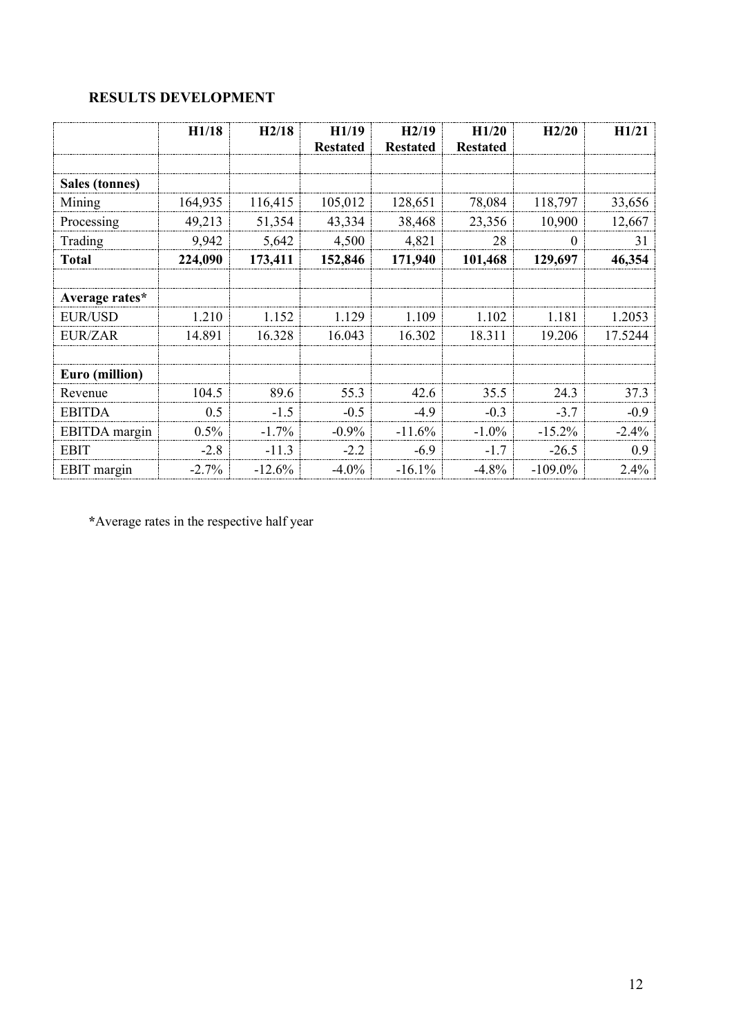## **RESULTS DEVELOPMENT**

|                    | H1/18    | H2/18    | H1/19           | H2/19           | H1/20           | H2/20      | H1/21    |
|--------------------|----------|----------|-----------------|-----------------|-----------------|------------|----------|
|                    |          |          | <b>Restated</b> | <b>Restated</b> | <b>Restated</b> |            |          |
|                    |          |          |                 |                 |                 |            |          |
| Sales (tonnes)     |          |          |                 |                 |                 |            |          |
| Mining             | 164,935  | 116,415  | 105,012         | 128,651         | 78,084          | 118,797    | 33,656   |
| Processing         | 49,213   | 51,354   | 43,334          | 38,468          | 23,356          | 10,900     | 12,667   |
| Trading            | 9,942    | 5,642    | 4,500           | 4,821           | 28              | 0          | 31       |
| <b>Total</b>       | 224,090  | 173,411  | 152,846         | 171,940         | 101,468         | 129,697    | 46,354   |
|                    |          |          |                 |                 |                 |            |          |
| Average rates*     |          |          |                 |                 |                 |            |          |
| <b>EUR/USD</b>     | 1.210    | 1.152    | 1.129           | 1.109           | 1.102           | 1.181      | 1.2053   |
| <b>EUR/ZAR</b>     | 14.891   | 16.328   | 16.043          | 16.302          | 18.311          | 19.206     | 17.5244  |
|                    |          |          |                 |                 |                 |            |          |
| Euro (million)     |          |          |                 |                 |                 |            |          |
| Revenue            | 104.5    | 89.6     | 55.3            | 42.6            | 35.5            | 24.3       | 37.3     |
| <b>EBITDA</b>      | 0.5      | $-1.5$   | $-0.5$          | $-4.9$          | $-0.3$          | $-3.7$     | $-0.9$   |
| EBITDA margin      | $0.5\%$  | $-1.7%$  | $-0.9\%$        | $-11.6%$        | $-1.0\%$        | $-15.2%$   | $-2.4\%$ |
| <b>EBIT</b>        | $-2.8$   | $-11.3$  | $-2.2$          | $-6.9$          | $-1.7$          | $-26.5$    | 0.9      |
| <b>EBIT</b> margin | $-2.7\%$ | $-12.6%$ | $-4.0\%$        | $-16.1%$        | $-4.8%$         | $-109.0\%$ | $2.4\%$  |

**\***Average rates in the respective half year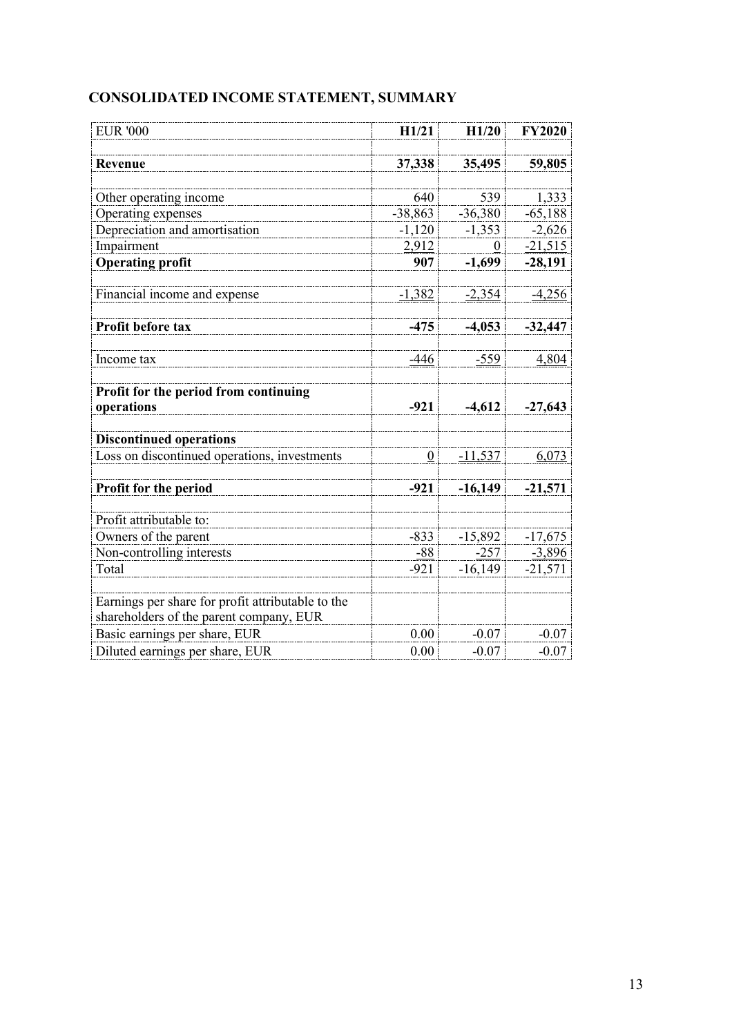| <b>EUR '000</b>                                                                              | H1/21            | H1/20     | <b>FY2020</b> |
|----------------------------------------------------------------------------------------------|------------------|-----------|---------------|
| <b>Revenue</b>                                                                               | 37,338           | 35,495    | 59,805        |
|                                                                                              |                  |           |               |
| Other operating income                                                                       | 640              | 539       | 1,333         |
| Operating expenses                                                                           | $-38,863$        | $-36,380$ | $-65,188$     |
| Depreciation and amortisation                                                                | $-1.120$         | $-1,353$  | $-2,626$      |
| Impairment                                                                                   | 2,912            | 0         | $-21,515$     |
| <b>Operating profit</b>                                                                      | 907              | $-1,699$  | $-28,191$     |
| Financial income and expense                                                                 | $-1,382$         | $-2,354$  | $-4,256$      |
| Profit before tax                                                                            | $-475$           | $-4,053$  | $-32,447$     |
| Income tax                                                                                   | $-446$           | $-559$    | 4,804         |
| Profit for the period from continuing<br>operations                                          | $-921$           | $-4,612$  | $-27,643$     |
| <b>Discontinued operations</b>                                                               |                  |           |               |
| Loss on discontinued operations, investments                                                 | $\boldsymbol{0}$ | $-11,537$ | 6,073         |
| Profit for the period                                                                        | $-921$           | $-16,149$ | $-21,571$     |
| Profit attributable to:                                                                      |                  |           |               |
| Owners of the parent                                                                         | $-833$           | $-15,892$ | $-17,675$     |
| Non-controlling interests                                                                    | $-88$            | -257      | $-3,896$      |
| Total                                                                                        | $-921$           | $-16,149$ | $-21,571$     |
| Earnings per share for profit attributable to the<br>shareholders of the parent company, EUR |                  |           |               |
| Basic earnings per share, EUR                                                                | 0.00             | $-0.07$   | $-0.07$       |
| Diluted earnings per share, EUR                                                              | 0.00             | $-0.07$   | $-0.07$       |

# **CONSOLIDATED INCOME STATEMENT, SUMMARY**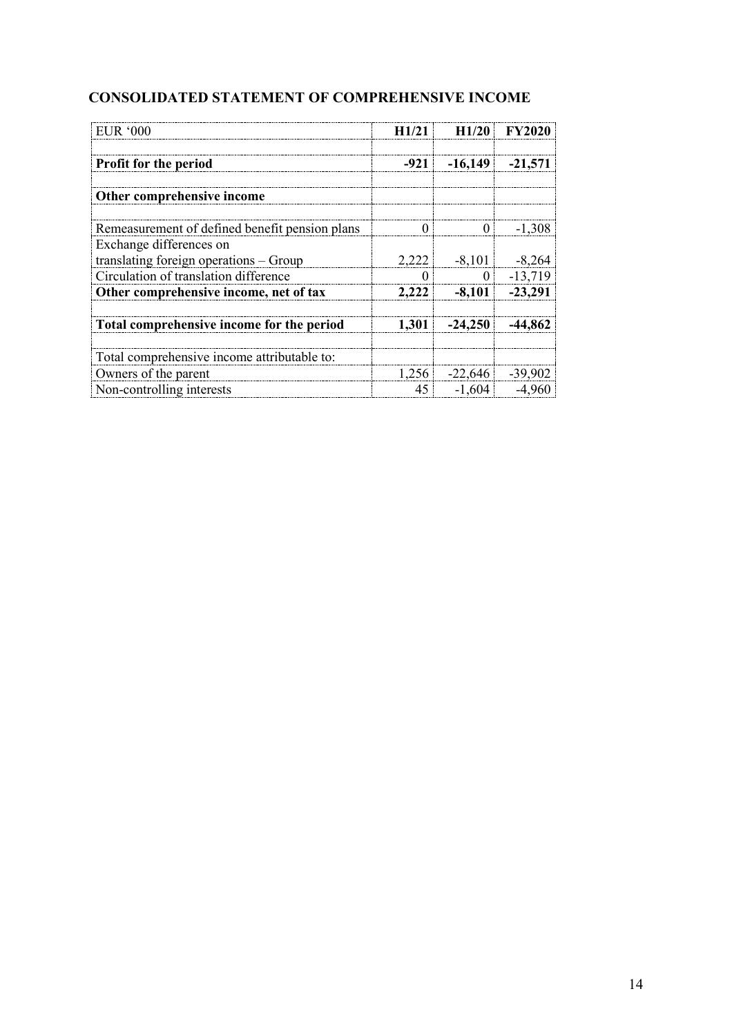## **CONSOLIDATED STATEMENT OF COMPREHENSIVE INCOME**

| EUR'000                                        | H1/21    | H1/20     | <b>FY2020</b> |
|------------------------------------------------|----------|-----------|---------------|
| Profit for the period                          | $-921$   | $-16,149$ | $-21,571$     |
| Other comprehensive income                     |          |           |               |
| Remeasurement of defined benefit pension plans | $\Omega$ | $\Omega$  | $-1.308$      |
| Exchange differences on                        |          |           |               |
| translating foreign operations - Group         | 2,222    | $-8,101$  | $-8,264$      |
| Circulation of translation difference          | $\theta$ | $\theta$  | $-13,719$     |
| Other comprehensive income, net of tax         | 2,222    | $-8,101$  | $-23,291$     |
| Total comprehensive income for the period      | 1,301    | $-24,250$ | -44.862       |
| Total comprehensive income attributable to:    |          |           |               |
| Owners of the parent                           | 1,256    | $-22,646$ | $-39,902$     |
| Non-controlling interests                      | 45       | $-1,604$  | $-4,960$      |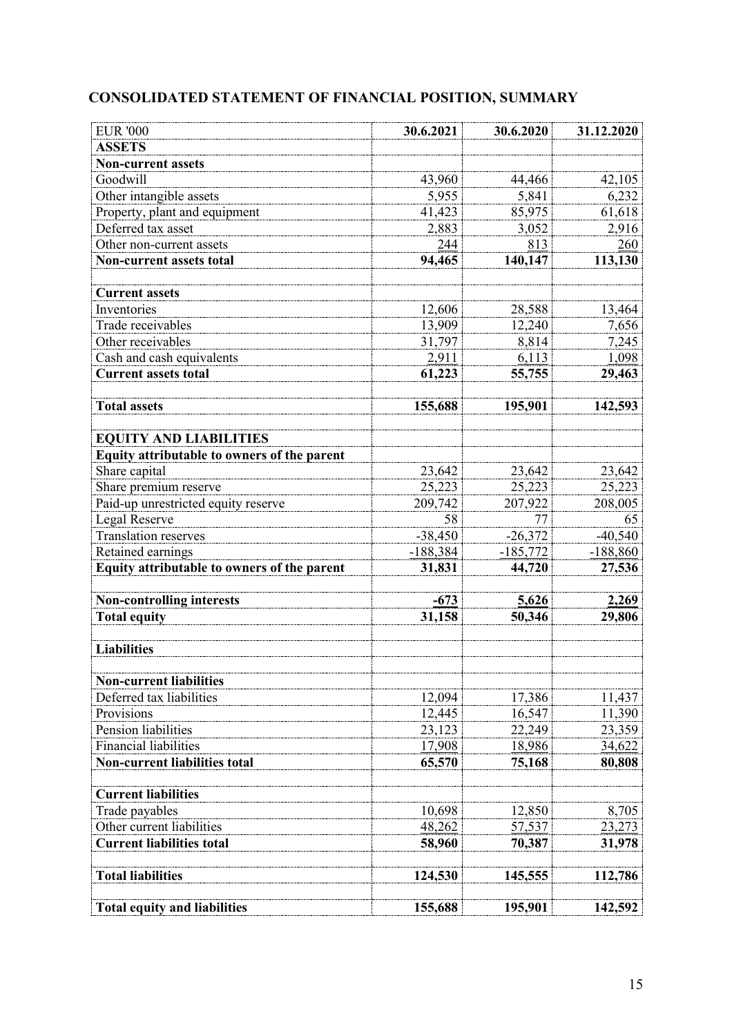# **CONSOLIDATED STATEMENT OF FINANCIAL POSITION, SUMMARY**

| <b>EUR '000</b>                             | 30.6.2021  | 30.6.2020     | 31.12.2020 |
|---------------------------------------------|------------|---------------|------------|
| <b>ASSETS</b>                               |            |               |            |
| <b>Non-current assets</b>                   |            |               |            |
| Goodwill                                    | 43,960     | 44,466        | 42,105     |
| Other intangible assets                     | 5,955      | 5.841         | 6,232      |
| Property, plant and equipment               | 41,423     | 85,975        | 61,618     |
| Deferred tax asset                          | 2,883      | 3,052         | 2,916      |
| Other non-current assets                    | 244        | 813           | 260        |
| <b>Non-current assets total</b>             | 94,465     | 140,147       | 113,130    |
|                                             |            |               |            |
| <b>Current assets</b>                       |            |               |            |
| Inventories                                 | 12,606     | 28,588        | 13,464     |
| Trade receivables                           | 13,909     | 12,240        | 7,656      |
| Other receivables                           | 31,797     | 8,814         | 7,245      |
| Cash and cash equivalents                   | 2,911      | 6,113         | 1,098      |
| <b>Current assets total</b>                 | 61,223     | 55,755        | 29,463     |
| <b>Total assets</b>                         | 155,688    | 195,901       | 142,593    |
|                                             |            |               |            |
| <b>EQUITY AND LIABILITIES</b>               |            |               |            |
| Equity attributable to owners of the parent |            |               |            |
| Share capital                               | 23,642     | 23,642        | 23,642     |
| Share premium reserve                       | 25,223     | 25,223        | 25,223     |
| Paid-up unrestricted equity reserve         | 209,742    | 207,922       | 208,005    |
| Legal Reserve                               | 58         | 77            | 65         |
| <b>Translation reserves</b>                 | $-38,450$  | $-26,372$     | $-40,540$  |
| Retained earnings                           | $-188,384$ | $-185,772$    | $-188,860$ |
| Equity attributable to owners of the parent | 31,831     | 44,720        | 27,536     |
| <b>Non-controlling interests</b>            | $-673$     | 5,626         | 2,269      |
| <b>Total equity</b>                         | 31,158     | 50,346        | 29,806     |
|                                             |            |               |            |
| <b>Liabilities</b>                          |            |               |            |
| <b>Non-current liabilities</b>              |            |               |            |
| Deferred tax liabilities                    | 12,094     | 17,386        | 11,437     |
| Provisions                                  | 12,445     | 16,547        | 11,390     |
| Pension liabilities                         | 23,123     | 22,249        | 23,359     |
| <b>Financial liabilities</b>                | 17,908     | 18,986        | 34,622     |
| <b>Non-current liabilities total</b>        | 65,570     | 75,168        | 80,808     |
|                                             |            |               |            |
| <b>Current liabilities</b>                  |            |               |            |
| Trade payables                              | 10,698     | 12,850        | 8,705      |
| Other current liabilities                   | 48,262     | <u>57,537</u> | 23,273     |
| <b>Current liabilities total</b>            | 58,960     | 70,387        | 31,978     |
| <b>Total liabilities</b>                    | 124,530    | 145,555       | 112,786    |
| <b>Total equity and liabilities</b>         | 155,688    | 195,901       | 142,592    |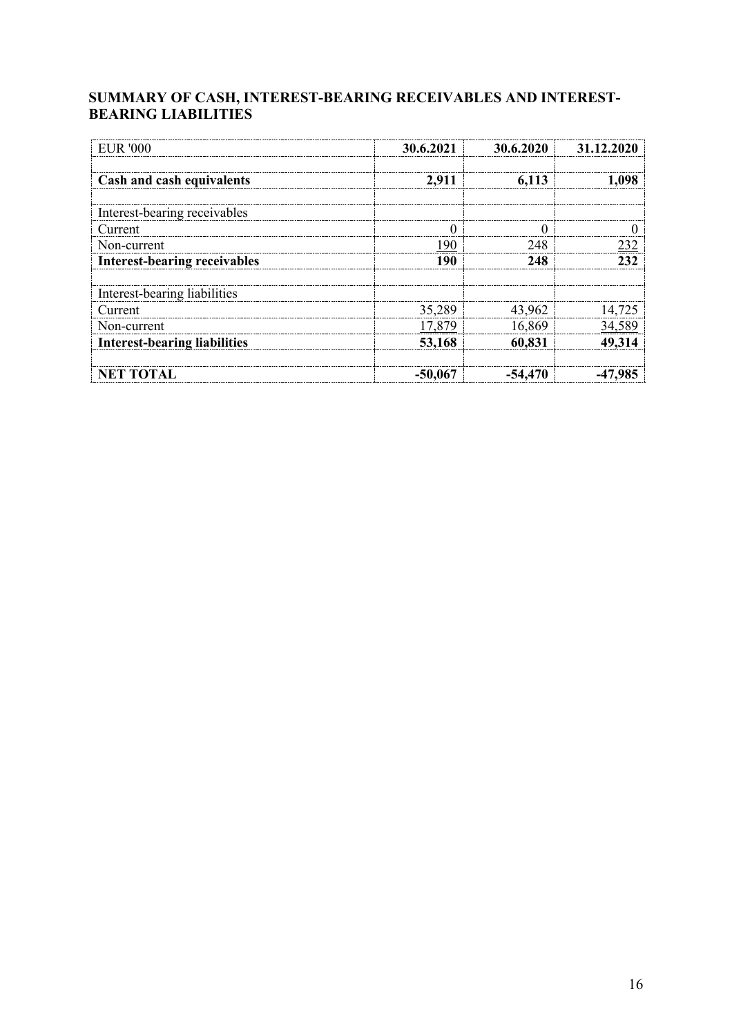## **SUMMARY OF CASH, INTEREST-BEARING RECEIVABLES AND INTEREST-BEARING LIABILITIES**

| <b>EUR '000</b>                     | 30.6.2021 | 30.6.2020 | 31 12 20      |
|-------------------------------------|-----------|-----------|---------------|
| Cash and cash equivalents           | 2,911     | 6,113     | 1,098         |
| Interest-bearing receivables        |           |           |               |
| Current                             |           |           |               |
| Non-current                         | 190       | 248       | 232           |
| <b>Interest-bearing receivables</b> | 190       | 248       | 232           |
| Interest-bearing liabilities        |           |           |               |
| Current                             | 35,289    | 43,962    | 14,725        |
| Non-current                         | 17,879    | 16,869    | <u>34,589</u> |
| <b>Interest-bearing liabilities</b> | 53,168    | 60,831    | 49,314        |
| <b>NET TOTAL</b>                    | $-50,067$ | -54.470   | -47.985       |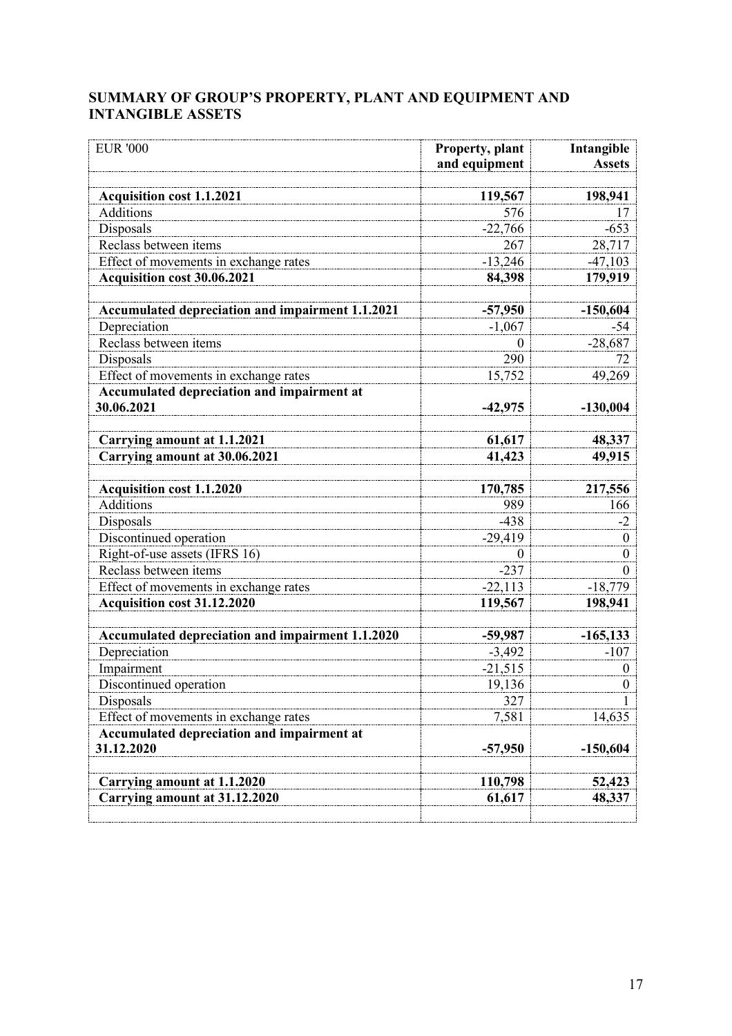## **SUMMARY OF GROUP'S PROPERTY, PLANT AND EQUIPMENT AND INTANGIBLE ASSETS**

| <b>EUR '000</b>                                  | Property, plant | Intangible       |
|--------------------------------------------------|-----------------|------------------|
|                                                  | and equipment   | <b>Assets</b>    |
| <b>Acquisition cost 1.1.2021</b>                 | 119,567         | 198,941          |
| <b>Additions</b>                                 | 576             | 17               |
| Disposals                                        | $-22,766$       | $-653$           |
| Reclass between items                            | 267             | 28,717           |
| Effect of movements in exchange rates            | $-13,246$       | $-47,103$        |
| Acquisition cost 30.06.2021                      | 84,398          | 179,919          |
|                                                  |                 |                  |
| Accumulated depreciation and impairment 1.1.2021 | $-57,950$       | $-150,604$       |
| Depreciation                                     | $-1,067$        | $-54$            |
| Reclass between items                            | $\theta$        | $-28,687$        |
| Disposals                                        | 290             | 72               |
| Effect of movements in exchange rates            | 15,752          | 49,269           |
| Accumulated depreciation and impairment at       |                 |                  |
| 30.06.2021                                       | $-42,975$       | $-130,004$       |
|                                                  |                 |                  |
| <b>Carrying amount at 1.1.2021</b>               | 61,617          | 48,337           |
| Carrying amount at 30.06.2021                    | 41,423          | 49,915           |
|                                                  |                 |                  |
| <b>Acquisition cost 1.1.2020</b>                 | 170,785         | 217,556          |
| Additions                                        | 989             | 166              |
| Disposals                                        | $-438$          | $-2$             |
| Discontinued operation                           | $-29,419$       | $\boldsymbol{0}$ |
| Right-of-use assets (IFRS 16)                    | $\theta$        | $\boldsymbol{0}$ |
| Reclass between items                            | $-237$          | $\theta$         |
| Effect of movements in exchange rates            | $-22,113$       | $-18,779$        |
| Acquisition cost 31.12.2020                      | 119,567         | 198,941          |
| Accumulated depreciation and impairment 1.1.2020 | $-59,987$       | $-165, 133$      |
| Depreciation                                     | $-3,492$        | $-107$           |
| Impairment                                       | $-21,515$       | $\boldsymbol{0}$ |
| Discontinued operation                           | 19,136          | $\Omega$         |
| Disposals                                        | 327             |                  |
| Effect of movements in exchange rates            | 7,581           | 14,635           |
| Accumulated depreciation and impairment at       |                 |                  |
| 31.12.2020                                       | $-57,950$       | $-150,604$       |
|                                                  |                 |                  |
| Carrying amount at 1.1.2020                      | 110,798         | 52,423           |
| Carrying amount at 31.12.2020                    | 61,617          | 48,337           |
|                                                  |                 |                  |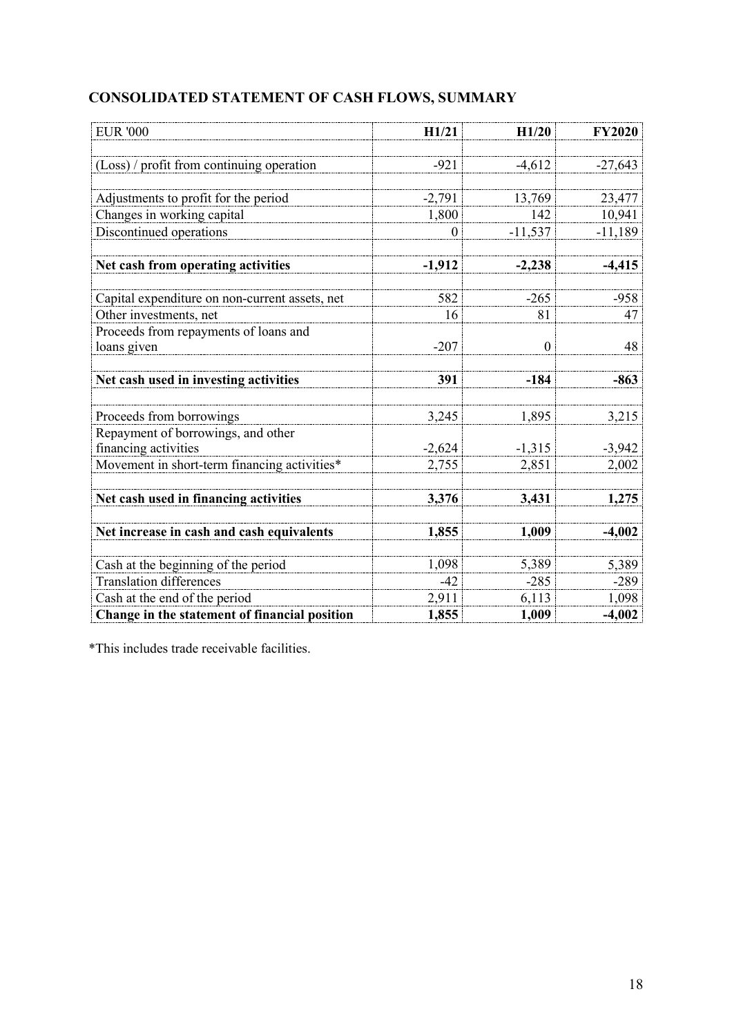| <b>EUR '000</b>                                | H1/21    | H1/20            | <b>FY2020</b> |
|------------------------------------------------|----------|------------------|---------------|
|                                                |          |                  |               |
| (Loss) / profit from continuing operation      | $-921$   | $-4,612$         | $-27,643$     |
|                                                |          |                  |               |
| Adjustments to profit for the period           | $-2,791$ | 13,769           | 23,477        |
| Changes in working capital                     | 1,800    | 142              | 10,941        |
| Discontinued operations                        | 0        | $-11,537$        | $-11,189$     |
|                                                |          |                  |               |
| Net cash from operating activities             | $-1,912$ | $-2,238$         | $-4,415$      |
|                                                |          |                  |               |
| Capital expenditure on non-current assets, net | 582      | $-265$           | $-958$        |
| Other investments, net                         | 16       | 81               | 47            |
| Proceeds from repayments of loans and          |          |                  |               |
| loans given                                    | $-207$   | $\boldsymbol{0}$ | 48            |
|                                                |          |                  |               |
| Net cash used in investing activities          | 391      | -184             | $-863$        |
| Proceeds from borrowings                       | 3,245    | 1,895            | 3,215         |
| Repayment of borrowings, and other             |          |                  |               |
| financing activities                           | $-2,624$ | $-1,315$         | $-3,942$      |
| Movement in short-term financing activities*   | 2,755    | 2,851            | 2,002         |
|                                                |          |                  |               |
| Net cash used in financing activities          | 3,376    | 3,431            | 1,275         |
|                                                |          |                  |               |
| Net increase in cash and cash equivalents      | 1,855    | 1,009            | $-4,002$      |
|                                                |          |                  |               |
| Cash at the beginning of the period            | 1,098    | 5,389            | 5,389         |
| <b>Translation differences</b>                 | $-42$    | $-285$           | $-289$        |
| Cash at the end of the period                  | 2,911    | 6,113            | 1,098         |
| Change in the statement of financial position  | 1,855    | 1,009            | $-4,002$      |

# **CONSOLIDATED STATEMENT OF CASH FLOWS, SUMMARY**

\*This includes trade receivable facilities.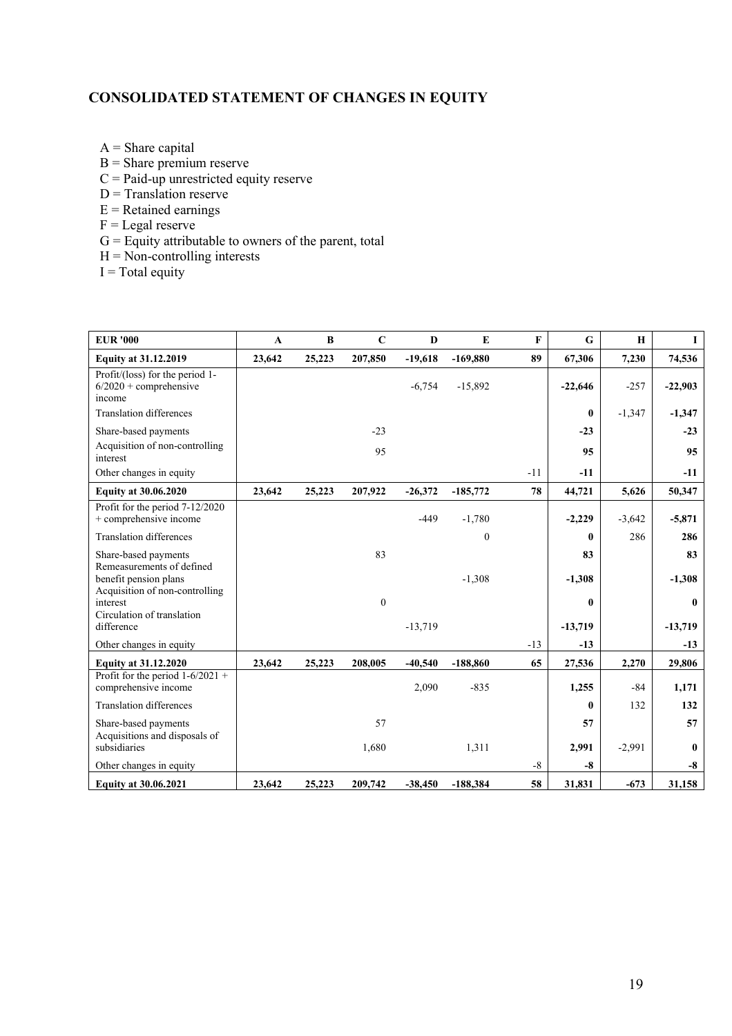## **CONSOLIDATED STATEMENT OF CHANGES IN EQUITY**

- $A =$ Share capital
- B = Share premium reserve
- $C =$  Paid-up unrestricted equity reserve
- $D =$ Translation reserve
- $E =$ Retained earnings
- $F =$ Legal reserve
- G = Equity attributable to owners of the parent, total
- $H = Non-controlling$  interests
- $I = Total$  equity

| <b>EUR</b> '000                                                          | $\mathbf{A}$ | B      | $\mathbf C$      | D         | E                | F     | G            | $\mathbf H$ | $\bf{I}$     |
|--------------------------------------------------------------------------|--------------|--------|------------------|-----------|------------------|-------|--------------|-------------|--------------|
| <b>Equity at 31.12.2019</b>                                              | 23,642       | 25,223 | 207,850          | $-19,618$ | $-169,880$       | 89    | 67,306       | 7,230       | 74,536       |
| Profit/(loss) for the period 1-<br>$6/2020 +$ comprehensive<br>income    |              |        |                  | $-6.754$  | $-15,892$        |       | $-22,646$    | $-257$      | $-22,903$    |
| <b>Translation differences</b>                                           |              |        |                  |           |                  |       | $\bf{0}$     | $-1,347$    | $-1,347$     |
| Share-based payments                                                     |              |        | $-23$            |           |                  |       | $-23$        |             | $-23$        |
| Acquisition of non-controlling<br>interest                               |              |        | 95               |           |                  |       | 95           |             | 95           |
| Other changes in equity                                                  |              |        |                  |           |                  | $-11$ | $-11$        |             | $-11$        |
| <b>Equity at 30.06.2020</b>                                              | 23,642       | 25,223 | 207,922          | $-26,372$ | $-185,772$       | 78    | 44,721       | 5,626       | 50,347       |
| Profit for the period 7-12/2020<br>+ comprehensive income                |              |        |                  | $-449$    | $-1,780$         |       | $-2,229$     | $-3,642$    | $-5,871$     |
| <b>Translation differences</b>                                           |              |        |                  |           | $\boldsymbol{0}$ |       | 0            | 286         | 286          |
| Share-based payments                                                     |              |        | 83               |           |                  |       | 83           |             | 83           |
| Remeasurements of defined<br>benefit pension plans                       |              |        |                  |           | $-1,308$         |       | $-1,308$     |             | $-1,308$     |
| Acquisition of non-controlling<br>interest<br>Circulation of translation |              |        | $\boldsymbol{0}$ |           |                  |       | $\bf{0}$     |             | $\mathbf{0}$ |
| difference                                                               |              |        |                  | $-13,719$ |                  |       | $-13,719$    |             | $-13,719$    |
| Other changes in equity                                                  |              |        |                  |           |                  | $-13$ | $-13$        |             | $-13$        |
| <b>Equity at 31.12.2020</b>                                              | 23,642       | 25,223 | 208,005          | $-40,540$ | $-188,860$       | 65    | 27,536       | 2,270       | 29,806       |
| Profit for the period $1-6/2021 +$<br>comprehensive income               |              |        |                  | 2,090     | $-835$           |       | 1,255        | -84         | 1,171        |
| <b>Translation differences</b>                                           |              |        |                  |           |                  |       | $\mathbf{0}$ | 132         | 132          |
| Share-based payments<br>Acquisitions and disposals of                    |              |        | 57               |           |                  |       | 57           |             | 57           |
| subsidiaries                                                             |              |        | 1,680            |           | 1,311            |       | 2,991        | $-2,991$    | $\mathbf{0}$ |
| Other changes in equity                                                  |              |        |                  |           |                  | $-8$  | $-8$         |             | $-8$         |
| <b>Equity at 30.06.2021</b>                                              | 23,642       | 25,223 | 209,742          | $-38,450$ | $-188,384$       | 58    | 31,831       | $-673$      | 31,158       |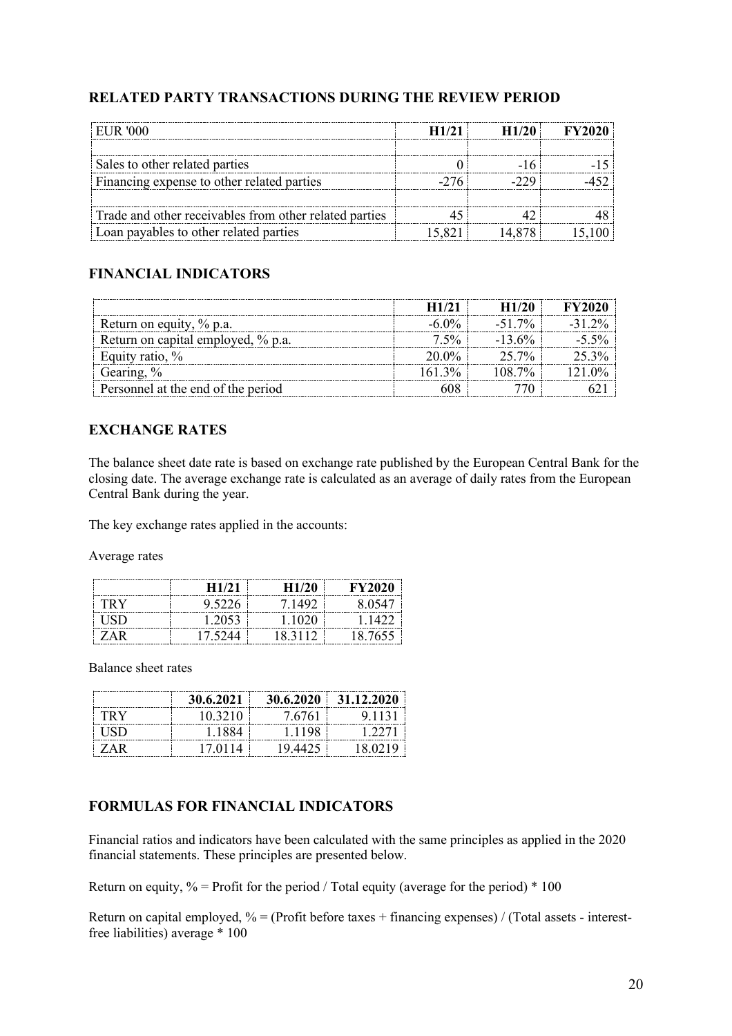## **RELATED PARTY TRANSACTIONS DURING THE REVIEW PERIOD**

| ELIR '000                                              |  |  |
|--------------------------------------------------------|--|--|
|                                                        |  |  |
| Sales to other related parties                         |  |  |
| Financing expense to other related parties             |  |  |
|                                                        |  |  |
| Trade and other receivables from other related parties |  |  |
| Loan payables to other related parties                 |  |  |

## **FINANCIAL INDICATORS**

| Return on equity, % p.a.           | $-51.7\%$ |  |
|------------------------------------|-----------|--|
| Return on capital employed, % p.a. |           |  |
| quity ratio, %                     | $25.7\%$  |  |
| Gearing, %                         |           |  |
| Personnel at the end of the period |           |  |

## **EXCHANGE RATES**

The balance sheet date rate is based on exchange rate published by the European Central Bank for the closing date. The average exchange rate is calculated as an average of daily rates from the European Central Bank during the year.

The key exchange rates applied in the accounts:

Average rates

|     | H1/21   | H1/20   | <b>FY2020</b> |
|-----|---------|---------|---------------|
| TRY | 9.5226  | 7.1492  | 8.0547        |
| HSD | 1.2053  | 1.1020  | 1.1422        |
| ZAR | 17.5244 | 18.3112 | 18.7655       |

Balance sheet rates

|            | 30.6.2021 | 30.6.2020 | 31.12.2020 |
|------------|-----------|-----------|------------|
| TRY        | 10.3210   | 7.6761    | 9.1131     |
| HSD        | 1.1884    | 1.1198    | 1.2271     |
| <b>ZAR</b> | 17.0114   | 19.4425   | 18.0219    |

## **FORMULAS FOR FINANCIAL INDICATORS**

Financial ratios and indicators have been calculated with the same principles as applied in the 2020 financial statements. These principles are presented below.

Return on equity,  $\%$  = Profit for the period / Total equity (average for the period)  $*$  100

Return on capital employed,  $\%$  = (Profit before taxes + financing expenses) / (Total assets - interestfree liabilities) average \* 100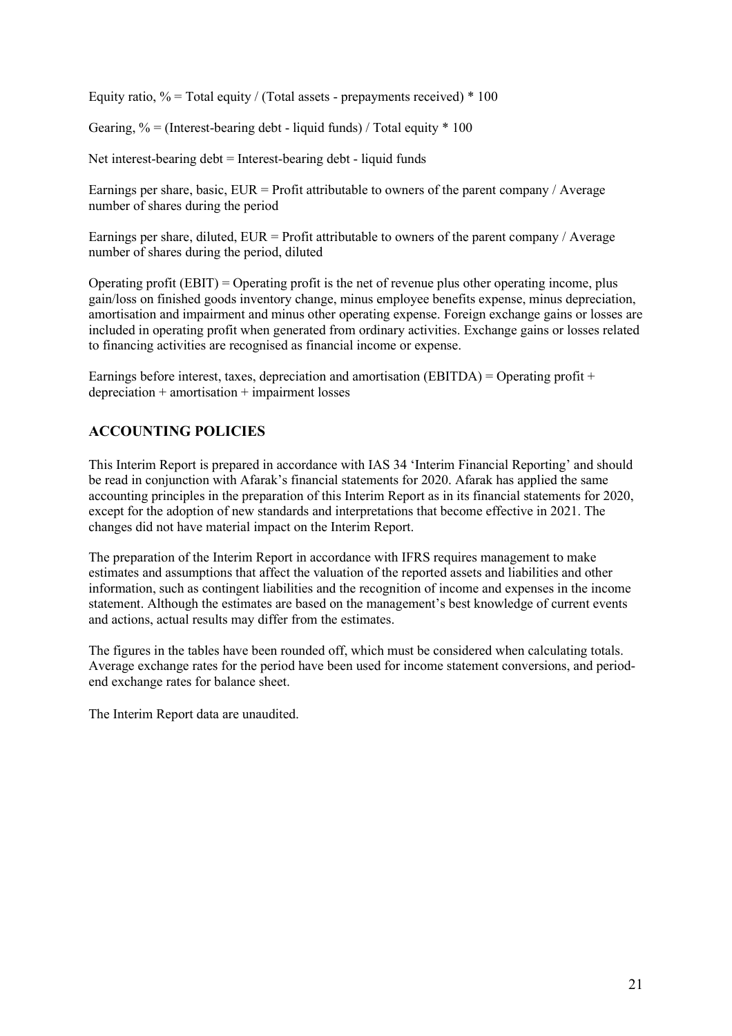Equity ratio,  $\%$  = Total equity / (Total assets - prepayments received) \* 100

Gearing,  $\%$  = (Interest-bearing debt - liquid funds) / Total equity  $*$  100

Net interest-bearing debt = Interest-bearing debt - liquid funds

Earnings per share, basic, EUR = Profit attributable to owners of the parent company / Average number of shares during the period

Earnings per share, diluted,  $EUR = Profit$  attributable to owners of the parent company / Average number of shares during the period, diluted

Operating profit (EBIT) = Operating profit is the net of revenue plus other operating income, plus gain/loss on finished goods inventory change, minus employee benefits expense, minus depreciation, amortisation and impairment and minus other operating expense. Foreign exchange gains or losses are included in operating profit when generated from ordinary activities. Exchange gains or losses related to financing activities are recognised as financial income or expense.

Earnings before interest, taxes, depreciation and amortisation (EBITDA) = Operating profit + depreciation + amortisation + impairment losses

## **ACCOUNTING POLICIES**

This Interim Report is prepared in accordance with IAS 34 'Interim Financial Reporting' and should be read in conjunction with Afarak's financial statements for 2020. Afarak has applied the same accounting principles in the preparation of this Interim Report as in its financial statements for 2020, except for the adoption of new standards and interpretations that become effective in 2021. The changes did not have material impact on the Interim Report.

The preparation of the Interim Report in accordance with IFRS requires management to make estimates and assumptions that affect the valuation of the reported assets and liabilities and other information, such as contingent liabilities and the recognition of income and expenses in the income statement. Although the estimates are based on the management's best knowledge of current events and actions, actual results may differ from the estimates.

The figures in the tables have been rounded off, which must be considered when calculating totals. Average exchange rates for the period have been used for income statement conversions, and periodend exchange rates for balance sheet.

The Interim Report data are unaudited.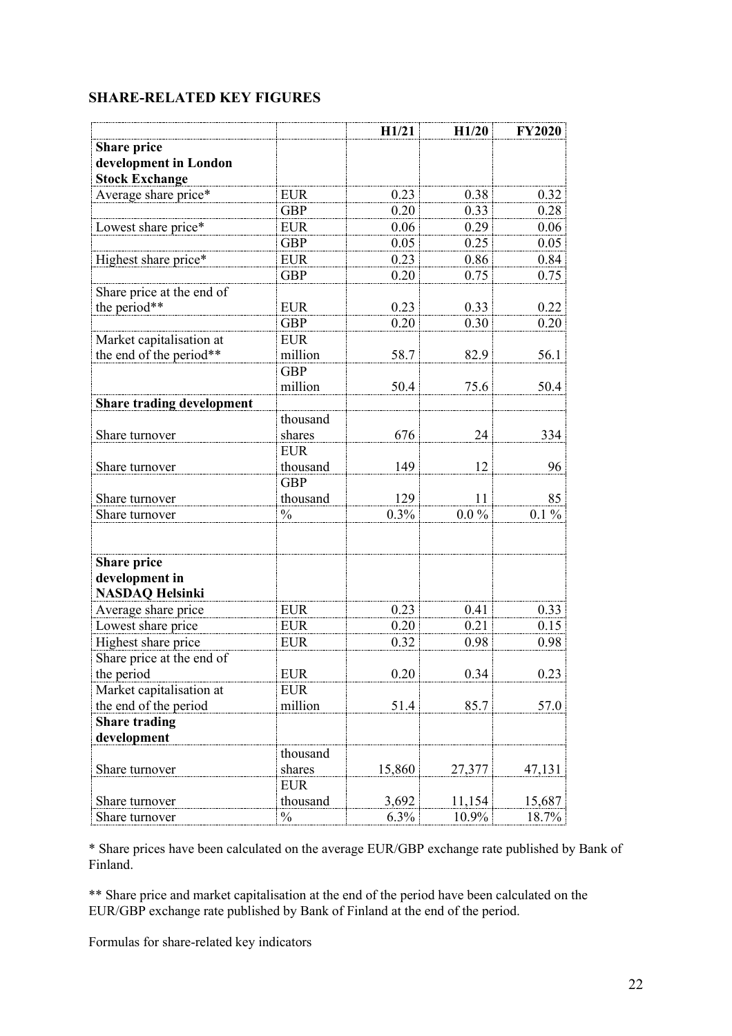## **SHARE-RELATED KEY FIGURES**

|                                  |               | H1/21  | H1/20   | <b>FY2020</b> |
|----------------------------------|---------------|--------|---------|---------------|
| <b>Share price</b>               |               |        |         |               |
| development in London            |               |        |         |               |
| <b>Stock Exchange</b>            |               |        |         |               |
| Average share price*             | <b>EUR</b>    | 0.23   | 0.38    | 0.32          |
|                                  | <b>GBP</b>    | 0.20   | 0.33    | 0.28          |
| Lowest share price*              | <b>EUR</b>    | 0.06   | 0.29    | 0.06          |
|                                  | <b>GBP</b>    | 0.05   | 0.25    | 0.05          |
| Highest share price*             | <b>EUR</b>    | 0.23   | 0.86    | 0.84          |
|                                  | <b>GBP</b>    | 0.20   | 0.75    | 0.75          |
| Share price at the end of        |               |        |         |               |
| the period**                     | <b>EUR</b>    | 0.23   | 0.33    | 0.22          |
|                                  | <b>GBP</b>    | 0.20   | 0.30    | 0.20          |
| Market capitalisation at         | <b>EUR</b>    |        |         |               |
| the end of the period**          | million       | 58.7   | 82.9    | 56.1          |
|                                  | <b>GBP</b>    |        |         |               |
|                                  | million       | 50.4   | 75.6    | 50.4          |
| <b>Share trading development</b> |               |        |         |               |
|                                  | thousand      |        |         |               |
| Share turnover                   | shares        | 676    | 24      | 334           |
|                                  | <b>EUR</b>    |        |         |               |
| Share turnover                   | thousand      | 149    | 12      | 96            |
|                                  | <b>GBP</b>    |        |         |               |
| Share turnover                   | thousand      | 129    | 11      | 85            |
| Share turnover                   | $\frac{0}{0}$ | 0.3%   | $0.0\%$ | $0.1 \%$      |
|                                  |               |        |         |               |
| <b>Share price</b>               |               |        |         |               |
| development in                   |               |        |         |               |
| <b>NASDAQ Helsinki</b>           |               |        |         |               |
| Average share price              | <b>EUR</b>    | 0.23   | 0.41    | 0.33          |
| Lowest share price               | <b>EUR</b>    | 0.20   | 0.21    | 0.15          |
| Highest share price              | <b>EUR</b>    | 0.32   | 0.98    | 0.98          |
| Share price at the end of        |               |        |         |               |
| the period                       | <b>EUR</b>    | 0.20   | 0.34    | 0.23          |
| Market capitalisation at         | <b>EUR</b>    |        |         |               |
| the end of the period            | million       | 51.4   | 85.7    | 57.0          |
| <b>Share trading</b>             |               |        |         |               |
| development                      |               |        |         |               |
|                                  | thousand      |        |         |               |
| Share turnover                   | shares        | 15,860 | 27,377  | 47,131        |
|                                  | <b>EUR</b>    |        |         |               |
| Share turnover                   | thousand      | 3,692  | 11,154  | 15,687        |
| Share turnover                   | $\frac{0}{0}$ | 6.3%   | 10.9%   | 18.7%         |

\* Share prices have been calculated on the average EUR/GBP exchange rate published by Bank of Finland.

\*\* Share price and market capitalisation at the end of the period have been calculated on the EUR/GBP exchange rate published by Bank of Finland at the end of the period.

Formulas for share-related key indicators